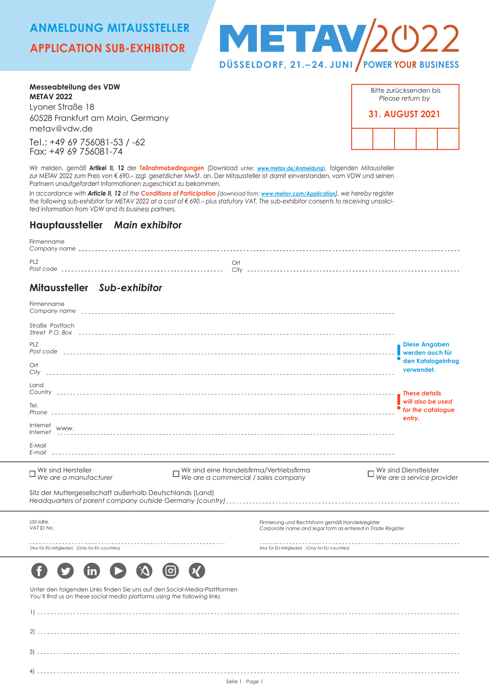# **ANMELDUNG MITAUSSTELLER**

# **APPLICATION SUB-EXHIBITOR**



**Messeabteilung des VDW METAV 2022** Lyoner Straße 18 60528 Frankfurt am Main, Germany

metav@vdw.de

Tel.: +49 69 756081-53 / -62 Fax: +49 69 756081-74

Bitte zurücksenden bis *Please return by* **31. AUGUST 2021**

Wir melden, gemäß **Artikel II, 12** der **Teilnahmebedingungen** (Download unter: **www.metav.de/Anmeldung**), folgenden Mitaussteller zur METAV 2022 zum Preis von € 690,– zzgl. gesetzlicher MwSt. an. Der Mitaussteller ist damit einverstanden, vom VDW und seinen Partnern unaufgefordert Informationen zugeschickt zu bekommen.

*In accordance with Article II, 12 of the Conditions of Participation (download from: www.metav.com/Application), we hereby register the following sub-exhibitor for METAV 2022 at a cost of € 690.– plus statutory VAT. The sub-exhibitor consents to receiving unsolicited information from VDW and its business partners.*

### **Hauptaussteller** *Main exhibitor*

| Firmenname |                      |
|------------|----------------------|
| PL7        | $\mathbf{r}$<br>City |
|            |                      |

## **Mitaussteller** *Sub-exhibitor*

| Firmenname                                                                                                                                            |                                                                                  |                                                                                                               |                                                     |
|-------------------------------------------------------------------------------------------------------------------------------------------------------|----------------------------------------------------------------------------------|---------------------------------------------------------------------------------------------------------------|-----------------------------------------------------|
| Straße Postfach                                                                                                                                       |                                                                                  |                                                                                                               |                                                     |
| <b>PLZ</b>                                                                                                                                            |                                                                                  |                                                                                                               | <b>Diese Angaben</b><br>werden auch für             |
| Ort<br>City                                                                                                                                           |                                                                                  |                                                                                                               | den Katalogeintrag<br>verwendet.                    |
| Land                                                                                                                                                  |                                                                                  |                                                                                                               | These details                                       |
| Tel.                                                                                                                                                  |                                                                                  |                                                                                                               | will also be used<br>for the cataloave<br>entry.    |
| Internet<br>www.<br>Internet                                                                                                                          |                                                                                  |                                                                                                               |                                                     |
| E-Mail                                                                                                                                                |                                                                                  |                                                                                                               |                                                     |
| Wir sind Hersteller<br>$\square$ Will situation contracturer                                                                                          | Wir sind eine Handelsfirma/Vertriebsfirma<br>We are a commercial / sales company |                                                                                                               | Wir sind Dienstleister<br>We are a service provider |
| Sitz der Muttergesellschaft außerhalb Deutschlands (Land)                                                                                             |                                                                                  |                                                                                                               |                                                     |
| USt-IdNr.<br>VAT ID No.                                                                                                                               |                                                                                  | Firmierung und Rechtsform gemäß Handelsregister<br>Corporate name and legal form as entered in Trade Register |                                                     |
| ----------------------------------<br>(Nur für EU-Mitglieder) (Only for EU countries)                                                                 |                                                                                  | (Nur für EU-Mitglieder) (Only for EU countries)                                                               |                                                     |
|                                                                                                                                                       |                                                                                  |                                                                                                               |                                                     |
| Unter den folgenden Links finden Sie uns auf den Social-Media-Plattformen<br>You'll find us on these social media platforms using the following links |                                                                                  |                                                                                                               |                                                     |
| 1)                                                                                                                                                    |                                                                                  |                                                                                                               |                                                     |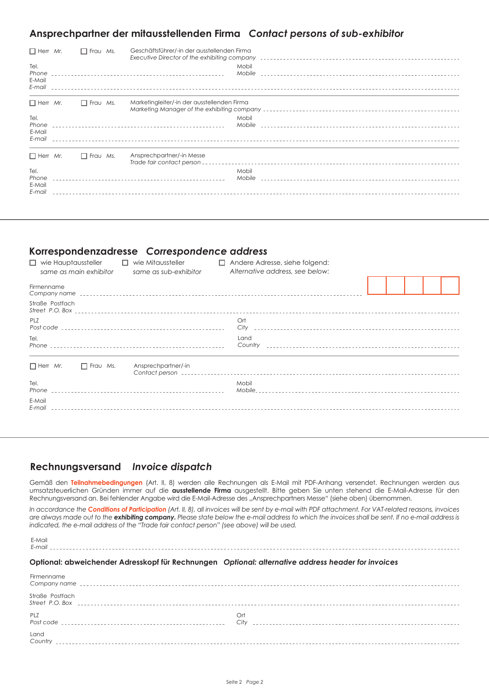## **Ansprechpartner der mitausstellenden Firma** *Contact persons of sub-exhibitor*

| $\Box$ Herr Mr.<br>$\Box$ Frau Ms. |  |                 | Geschäftsführer/-in der ausstellenden Firma<br>Executive Director of the exhibiting company entirely resonance in the contract of the contract of the exhibit |
|------------------------------------|--|-----------------|---------------------------------------------------------------------------------------------------------------------------------------------------------------|
| Tel.<br>Phone<br>E-Mail<br>E-mail  |  |                 | Mobil                                                                                                                                                         |
| $\Box$ Herr Mr.                    |  | $\Box$ Frau Ms. | Marketingleiter/-in der ausstellenden Firma                                                                                                                   |
| Tel.<br>Phone<br>E-Mail<br>E-mail  |  |                 | Mobil                                                                                                                                                         |
| $\Box$ Herr Mr.                    |  | $\Box$ Frau Ms. | Ansprechpartner/-in Messe<br>Trade fair contact person - -                                                                                                    |
| Tel.<br>Phone<br>E-Mail<br>E-mail  |  |                 | Mobil                                                                                                                                                         |

### **Korrespondenzadresse** *Correspondence address*

| $\Box$ wie Hauptaussteller<br>$\Box$<br>wie Mitaussteller<br>same as main exhibitor<br>same as sub-exhibitor | Andere Adresse, siehe folgend:<br>п<br>Alternative address, see below: |  |
|--------------------------------------------------------------------------------------------------------------|------------------------------------------------------------------------|--|
| Firmenname                                                                                                   |                                                                        |  |
| Straße Postfach                                                                                              |                                                                        |  |
| PL <sub>7</sub>                                                                                              | Ort                                                                    |  |
| Tel.                                                                                                         | Land                                                                   |  |
| $\Box$ Herr Mr.<br>$\Box$ Frau Ms.<br>Ansprechpartner/-in                                                    |                                                                        |  |
| Tel.                                                                                                         | Mobil                                                                  |  |
| E-Mail                                                                                                       |                                                                        |  |

# **Rechnungsversand** *Invoice dispatch*

Gemäß den **Teilnahmebedingungen** (Art. II, 8) werden alle Rechnungen als E-Mail mit PDF-Anhang versendet. Rechnungen werden aus umsatzsteuerlichen Gründen immer auf die **ausstellende Firma** ausgestellt. Bitte geben Sie unten stehend die E-Mail-Adresse für den Rechnungsversand an. Bei fehlender Angabe wird die E-Mail-Adresse des "Ansprechpartners Messe" (siehe oben) übernommen.

In accordance the **Conditions of Participation** (Art. II, 8), all invoices will be sent by e-mail with PDF attachment. For VAT-related reasons, invoices *are always made out to the exhibiting company. Please state below the e-mail address to which the invoices shall be sent. If no e-mail address is indicated, the e-mail address of the "Trade fair contact person" (see above) will be used.*

### **Optional: abweichender Adresskopf für Rechnungen** *Optional: alternative address header for invoices*

| Firmenname      |             |
|-----------------|-------------|
| Straße Postfach |             |
| PLZ             | Ort<br>City |
| Land<br>Country |             |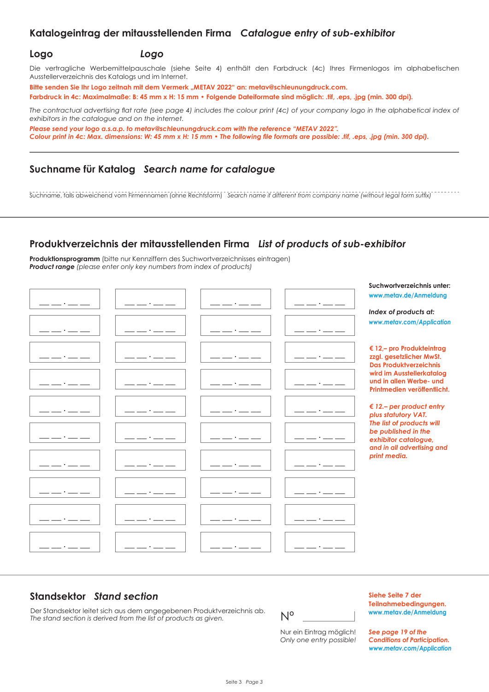### **Katalogeintrag der mitausstellenden Firma** *Catalogue entry of sub-exhibitor*

### **Logo** *Logo*

Die vertragliche Werbemittelpauschale (siehe Seite 4) enthält den Farbdruck (4c) Ihres Firmenlogos im alphabetischen Ausstellerverzeichnis des Katalogs und im Internet.

Bitte senden Sie Ihr Logo zeitnah mit dem Vermerk "METAV 2022" an: metav@schleunungdruck.com.

**Farbdruck in 4c: Maximalmaße: B: 45 mm x H: 15 mm • Folgende Dateiformate sind möglich: .tif, .eps, .jpg (min. 300 dpi).**

*The contractual advertising flat rate (see page 4) includes the colour print (4c) of your company logo in the alphabetical index of exhibitors in the catalogue and on the internet.*

*Please send your logo a.s.a.p. to metav@schleunungdruck.com with the reference "METAV 2022". Colour print in 4c: Max. dimensions: W: 45 mm x H: 15 mm • The following file formats are possible: .tif, .eps, .jpg (min. 300 dpi).*

### **Suchname für Katalog** *Search name for catalogue*

Suchname, falls abweichend vom Firmennamen (ohne Rechtsform) *Search name if different from company name (without legal form suffix)*

## **Produktverzeichnis der mitausstellenden Firma** *List of products of sub-exhibitor*

**Produktionsprogramm** (bitte nur Kennziffern des Suchwortverzeichnisses eintragen) *Product range (please enter only key numbers from index of products)*

|  |  | Suchwortverzeichnis unter:                                                                             |
|--|--|--------------------------------------------------------------------------------------------------------|
|  |  | www.metav.de/Anmeldung                                                                                 |
|  |  | Index of products at:                                                                                  |
|  |  | www.metav.com/Application                                                                              |
|  |  | € 12,- pro Produkteintrag<br>zzgl. gesetzlicher MwSt.<br><b>Das Produktverzeichnis</b>                 |
|  |  | wird im Ausstellerkatalog<br>und in allen Werbe- und<br>Printmedien veröffentlicht.                    |
|  |  | € 12 .- per product entry<br>plus statutory VAT.                                                       |
|  |  | The list of products will<br>be published in the<br>exhibitor catalogue,<br>and in all advertising and |
|  |  | print media.                                                                                           |
|  |  |                                                                                                        |
|  |  |                                                                                                        |
|  |  |                                                                                                        |

# **Standsektor** *Stand section*

Der Standsektor leitet sich aus dem angegebenen Produktverzeichnis ab. *The stand section is derived from the list of products as given.*

Nº

Nur ein Eintrag möglich! *Only one entry possible!* **Siehe Seite 7 der Teilnahmebedingungen. www.metav.de/Anmeldung**

*See page 19 of the Conditions of Participation. www.metav.com/Application*